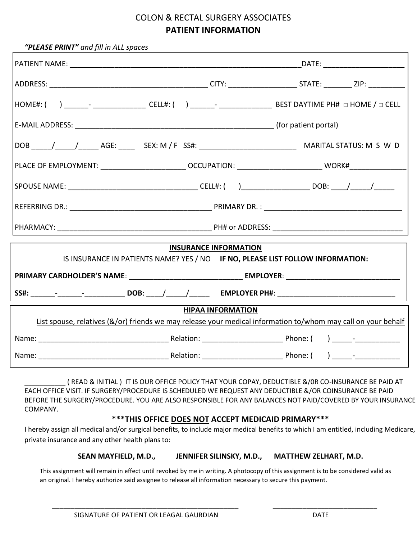### COLON & RECTAL SURGERY ASSOCIATES **PATIENT INFORMATION**

| "PLEASE PRINT" and fill in ALL spaces                                                                             | <u> 1989 - Johann Barn, amerikan bestemannsnafn og det forskellige og det forskellige og det forskellige og det</u> |  |  |
|-------------------------------------------------------------------------------------------------------------------|---------------------------------------------------------------------------------------------------------------------|--|--|
|                                                                                                                   |                                                                                                                     |  |  |
|                                                                                                                   |                                                                                                                     |  |  |
| HOME#: ( ) _______- __________________ CELL#: ( ) _______- _____________________ BEST DAYTIME PH# □ HOME / □ CELL |                                                                                                                     |  |  |
|                                                                                                                   |                                                                                                                     |  |  |
|                                                                                                                   |                                                                                                                     |  |  |
|                                                                                                                   |                                                                                                                     |  |  |
|                                                                                                                   |                                                                                                                     |  |  |
|                                                                                                                   |                                                                                                                     |  |  |
|                                                                                                                   |                                                                                                                     |  |  |
|                                                                                                                   | <b>INSURANCE INFORMATION</b>                                                                                        |  |  |
| IS INSURANCE IN PATIENTS NAME? YES / NO IF NO, PLEASE LIST FOLLOW INFORMATION:                                    |                                                                                                                     |  |  |
|                                                                                                                   |                                                                                                                     |  |  |
|                                                                                                                   |                                                                                                                     |  |  |
|                                                                                                                   | <b>HIPAA INFORMATION</b>                                                                                            |  |  |
| List spouse, relatives (&/or) friends we may release your medical information to/whom may call on your behalf     |                                                                                                                     |  |  |
|                                                                                                                   |                                                                                                                     |  |  |
|                                                                                                                   |                                                                                                                     |  |  |

\_\_\_\_\_\_\_\_\_\_\_ ( READ & INITIAL ) IT IS OUR OFFICE POLICY THAT YOUR COPAY, DEDUCTIBLE &/0R CO-INSURANCE BE PAID AT EACH OFFICE VISIT. IF SURGERY/PROCEDURE IS SCHEDULED WE REQUEST ANY DEDUCTIBLE &/OR COINSURANCE BE PAID BEFORE THE SURGERY/PROCEDURE. YOU ARE ALSO RESPONSIBLE FOR ANY BALANCES NOT PAID/COVERED BY YOUR INSURANCE COMPANY.

#### **\*\*\*THIS OFFICE DOES NOT ACCEPT MEDICAID PRIMARY\*\*\***

I hereby assign all medical and/or surgical benefits, to include major medical benefits to which I am entitled, including Medicare, private insurance and any other health plans to:

#### **SEAN MAYFIELD, M.D., JENNIFER SILINSKY, M.D., MATTHEW ZELHART, M.D.**

This assignment will remain in effect until revoked by me in writing. A photocopy of this assignment is to be considered valid as an original. I hereby authorize said assignee to release all information necessary to secure this payment.

\_\_\_\_\_\_\_\_\_\_\_\_\_\_\_\_\_\_\_\_\_\_\_\_\_\_\_\_\_\_\_\_\_\_\_\_\_\_\_\_\_\_\_\_\_\_\_\_\_\_ \_\_\_\_\_\_\_\_\_\_\_\_\_\_\_\_\_\_\_\_\_\_\_\_\_\_\_\_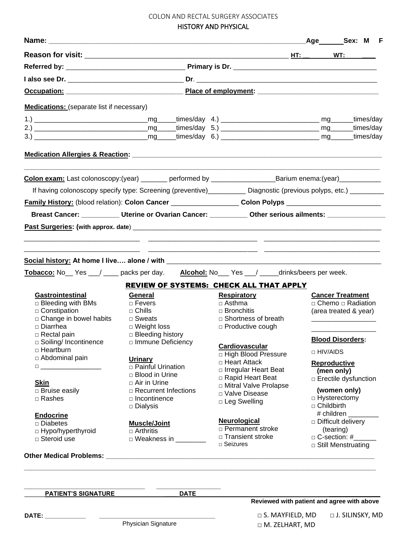# COLON AND RECTAL SURGERY ASSOCIATES

HISTORY AND PHYSICAL

|                                                                                                                   |                                               |                                                               |                   | <sub>_</sub> Age________Sex: M<br>F        |
|-------------------------------------------------------------------------------------------------------------------|-----------------------------------------------|---------------------------------------------------------------|-------------------|--------------------------------------------|
|                                                                                                                   |                                               |                                                               |                   | WT:                                        |
|                                                                                                                   |                                               |                                                               |                   |                                            |
|                                                                                                                   |                                               |                                                               |                   |                                            |
|                                                                                                                   |                                               |                                                               |                   |                                            |
| <b>Medications:</b> (separate list if necessary)                                                                  |                                               |                                                               |                   |                                            |
|                                                                                                                   |                                               |                                                               |                   |                                            |
|                                                                                                                   |                                               |                                                               |                   | _times/day<br>times/day                    |
|                                                                                                                   |                                               |                                                               |                   | _times/day                                 |
|                                                                                                                   |                                               |                                                               |                   |                                            |
| Colon exam: Last colonoscopy:(year) _______ performed by ________________________Barium enema:(year) _________    |                                               |                                                               |                   |                                            |
| If having colonoscopy specify type: Screening (preventive)__________ Diagnostic (previous polyps, etc.) _______   |                                               |                                                               |                   |                                            |
| Family History: (blood relation): Colon Cancer ____________________Colon Polyps _____________________________     |                                               |                                                               |                   |                                            |
| Breast Cancer: __________ Uterine or Ovarian Cancer: _________ Other serious ailments: ____________               |                                               |                                                               |                   |                                            |
|                                                                                                                   |                                               |                                                               |                   |                                            |
|                                                                                                                   |                                               |                                                               |                   |                                            |
|                                                                                                                   |                                               |                                                               |                   |                                            |
| Tobacco: No Yes 1 metal packs per day. Alcohol: No Yes 1 metal of this extensive per week.                        |                                               |                                                               |                   |                                            |
|                                                                                                                   |                                               |                                                               |                   |                                            |
| <b>Gastrointestinal</b>                                                                                           |                                               | REVIEW OF SYSTEMS: CHECK ALL THAT APPLY<br><b>Respiratory</b> |                   | <b>Cancer Treatment</b>                    |
| □ Bleeding with BMs                                                                                               | General<br>$\Box$ Fevers                      | $\Box$ Asthma                                                 |                   | $\Box$ Chemo $\Box$ Radiation              |
| $\Box$ Constipation                                                                                               | $\Box$ Chills                                 | $\Box$ Bronchitis                                             |                   | (area treated & year)                      |
| □ Change in bowel habits                                                                                          | $\Box$ Sweats                                 | $\Box$ Shortness of breath                                    |                   |                                            |
| □ Diarrhea                                                                                                        | $\Box$ Weight loss                            | □ Productive cough                                            |                   |                                            |
| □ Rectal pain                                                                                                     | $\Box$ Bleeding history                       |                                                               |                   |                                            |
| □ Soiling/ Incontinence                                                                                           | □ Immune Deficiency                           | Cardiovascular                                                |                   | <b>Blood Disorders:</b>                    |
| □ Heartburn                                                                                                       |                                               | <b>High Blood Pressure</b>                                    | □ HIV/AIDS        |                                            |
| □ Abdominal pain                                                                                                  | <b>Urinary</b>                                | □ Heart Attack                                                |                   | <b>Reproductive</b>                        |
| $\begin{tabular}{ c c c c } \hline \quad \quad & \quad \quad & \quad \quad & \quad \quad \\ \hline \end{tabular}$ | □ Painful Urination                           | □ Irregular Heart Beat                                        |                   | (men only)                                 |
|                                                                                                                   | □ Blood in Urine                              | □ Rapid Heart Beat                                            |                   | □ Erectile dysfunction                     |
| <b>Skin</b><br>□ Bruise easily                                                                                    | $\Box$ Air in Urine<br>□ Recurrent Infections | □ Mitral Valve Prolapse                                       |                   | (women only)                               |
| □ Rashes                                                                                                          | □ Incontinence                                | D Valve Disease                                               |                   | □ Hysterectomy                             |
|                                                                                                                   | □ Dialysis                                    | □ Leg Swelling                                                | $\Box$ Childbirth |                                            |
| <b>Endocrine</b>                                                                                                  |                                               |                                                               |                   | # children ______                          |
| $\square$ Diabetes                                                                                                | <b>Muscle/Joint</b>                           | <b>Neurological</b>                                           |                   | □ Difficult delivery                       |
| □ Hypo/hyperthyroid                                                                                               | $\Box$ Arthritis                              | □ Permanent stroke                                            |                   | (tearing)                                  |
| $\Box$ Steroid use                                                                                                | D Weakness in ________                        | □ Transient stroke<br>$\Box$ Seizures                         |                   | □ C-section: #<br>□ Still Menstruating     |
|                                                                                                                   |                                               |                                                               |                   |                                            |
|                                                                                                                   |                                               |                                                               |                   |                                            |
| <b>PATIENT'S SIGNATURE</b>                                                                                        | <b>DATE</b>                                   |                                                               |                   | Reviewed with patient and agree with above |
|                                                                                                                   |                                               |                                                               |                   |                                            |
|                                                                                                                   | Physician Signature                           | $\Box$ S. MAYFIELD, MD<br>$\Box$ M. ZELHART, MD               |                   | □ J. SILINSKY, MD                          |

□ M. ZELHART, MD